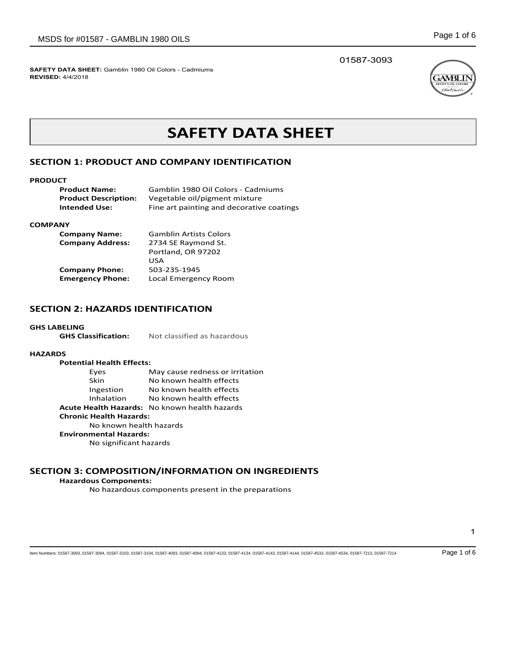01587-3093



# **SAFETY DATA SHEET**

### **SECTION 1: PRODUCT AND COMPANY IDENTIFICATION**

#### **PRODUCT**

| <b>Product Name:</b>        | Gamblin 1980 Oil Colors - Cadmiums        |
|-----------------------------|-------------------------------------------|
| <b>Product Description:</b> | Vegetable oil/pigment mixture             |
| Intended Use:               | Fine art painting and decorative coatings |

#### **COMPANY**

| <b>Company Name:</b>    | <b>Gamblin Artists Colors</b> |
|-------------------------|-------------------------------|
| <b>Company Address:</b> | 2734 SE Raymond St.           |
|                         | Portland, OR 97202            |
|                         | USA                           |
| <b>Company Phone:</b>   | 503-235-1945                  |
| <b>Emergency Phone:</b> | Local Emergency Room          |

### **SECTION 2: HAZARDS IDENTIFICATION**

GHS LABELING<br>GHS Classification: **GHS Classification:** Not classified as hazardous

### **HAZARDS**

| <b>Potential Health Effects:</b>              |                                 |  |
|-----------------------------------------------|---------------------------------|--|
| Eyes                                          | May cause redness or irritation |  |
| Skin                                          | No known health effects         |  |
| Ingestion                                     | No known health effects         |  |
| Inhalation                                    | No known health effects         |  |
| Acute Health Hazards: No known health hazards |                                 |  |
| <b>Chronic Health Hazards:</b>                |                                 |  |
| No known health hazards                       |                                 |  |
| <b>Environmental Hazards:</b>                 |                                 |  |
| No significant hazards                        |                                 |  |
|                                               |                                 |  |

### **SECTION 3: COMPOSITION/INFORMATION ON INGREDIENTS**

### **Hazardous Components:**

No hazardous components present in the preparations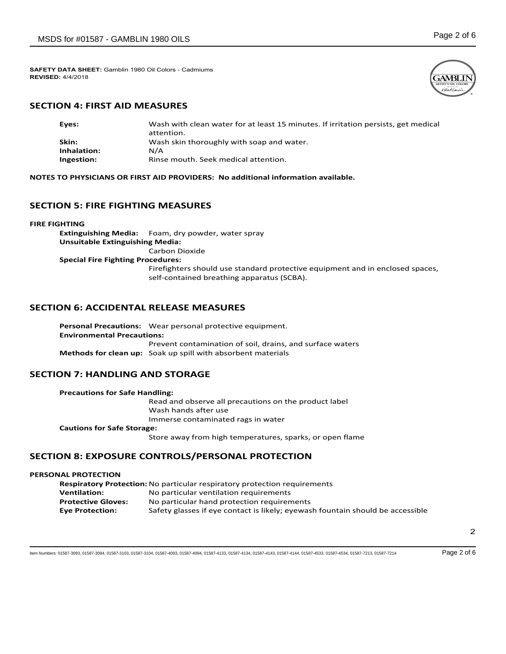

### **SECTION 4: FIRST AID MEASURES**

| Eyes:       | Wash with clean water for at least 15 minutes. If irritation persists, get medical |
|-------------|------------------------------------------------------------------------------------|
|             | attention.                                                                         |
| Skin:       | Wash skin thoroughly with soap and water.                                          |
| Inhalation: | N/A                                                                                |
| Ingestion:  | Rinse mouth. Seek medical attention.                                               |

**NOTES TO PHYSICIANS OR FIRST AID PROVIDERS: No additional information available.**

### **SECTION 5: FIRE FIGHTING MEASURES**

**FIRE FIGHTING**

**Extinguishing Media:** Foam, dry powder, water spray **Unsuitable Extinguishing Media:** Carbon Dioxide **Special Fire Fighting Procedures:** Firefighters should use standard protective equipment and in enclosed spaces, self-contained breathing apparatus (SCBA).

### **SECTION 6: ACCIDENTAL RELEASE MEASURES**

**Personal Precautions:** Wear personal protective equipment. **Environmental Precautions:** Prevent contamination of soil, drains, and surface waters **Methods for clean up:** Soak up spill with absorbent materials

### **SECTION 7: HANDLING AND STORAGE**

| <b>Precautions for Safe Handling:</b> |                                                          |
|---------------------------------------|----------------------------------------------------------|
|                                       | Read and observe all precautions on the product label    |
|                                       | Wash hands after use                                     |
|                                       | Immerse contaminated rags in water                       |
| <b>Cautions for Safe Storage:</b>     |                                                          |
|                                       | Store away from high temperatures, sparks, or open flame |
|                                       |                                                          |

### **SECTION 8: EXPOSURE CONTROLS/PERSONAL PROTECTION**

#### **PERSONAL PROTECTION**

**Respiratory Protection:**No particular respiratory protection requirements **Ventilation:** No particular ventilation requirements **Protective Gloves:** No particular hand protection requirements **Eye Protection:** Safety glasses if eye contact is likely; eyewash fountain should be accessible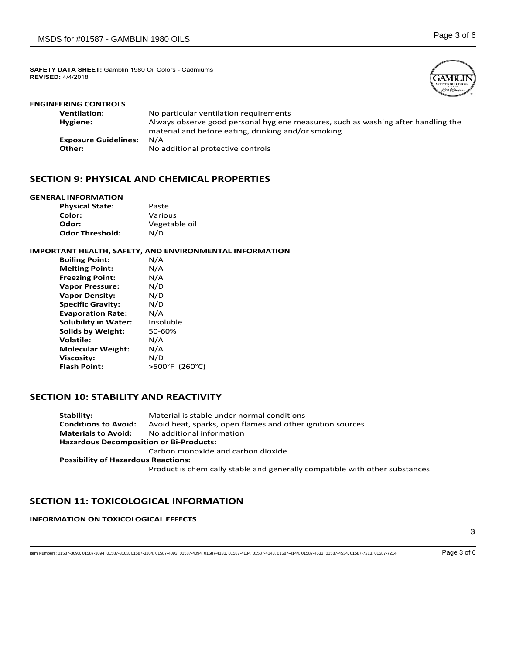

.<br>Abut k

| <b>ENGINEERING CONTROLS</b> |                                                                                                                                          |
|-----------------------------|------------------------------------------------------------------------------------------------------------------------------------------|
| <b>Ventilation:</b>         | No particular ventilation requirements                                                                                                   |
| Hygiene:                    | Always observe good personal hygiene measures, such as washing after handling the<br>material and before eating, drinking and/or smoking |
| <b>Exposure Guidelines:</b> | N/A                                                                                                                                      |
| Other:                      | No additional protective controls                                                                                                        |

### **SECTION 9: PHYSICAL AND CHEMICAL PROPERTIES**

#### **GENERAL INFORMATION**

| <b>Physical State:</b> | Paste         |
|------------------------|---------------|
| Color:                 | Various       |
| Odor:                  | Vegetable oil |
| <b>Odor Threshold:</b> | N/D           |

### **IMPORTANT HEALTH, SAFETY, AND ENVIRONMENTAL INFORMATION**

| <b>Boiling Point:</b>       | N/A            |
|-----------------------------|----------------|
| <b>Melting Point:</b>       | N/A            |
| <b>Freezing Point:</b>      | N/A            |
| <b>Vapor Pressure:</b>      | N/D            |
| <b>Vapor Density:</b>       | N/D            |
| <b>Specific Gravity:</b>    | N/D            |
| <b>Evaporation Rate:</b>    | N/A            |
| <b>Solubility in Water:</b> | Insoluble      |
| <b>Solids by Weight:</b>    | 50-60%         |
| <b>Volatile:</b>            | N/A            |
| <b>Molecular Weight:</b>    | N/A            |
| Viscosity:                  | N/D            |
| <b>Flash Point:</b>         | >500°F (260°C) |

### **SECTION 10: STABILITY AND REACTIVITY**

| Stability:                                     | Material is stable under normal conditions                                  |  |
|------------------------------------------------|-----------------------------------------------------------------------------|--|
| <b>Conditions to Avoid:</b>                    | Avoid heat, sparks, open flames and other ignition sources                  |  |
| <b>Materials to Avoid:</b>                     | No additional information                                                   |  |
| <b>Hazardous Decomposition or Bi-Products:</b> |                                                                             |  |
|                                                | Carbon monoxide and carbon dioxide                                          |  |
| <b>Possibility of Hazardous Reactions:</b>     |                                                                             |  |
|                                                | Product is chemically stable and generally compatible with other substances |  |

## **SECTION 11: TOXICOLOGICAL INFORMATION**

### **INFORMATION ON TOXICOLOGICAL EFFECTS**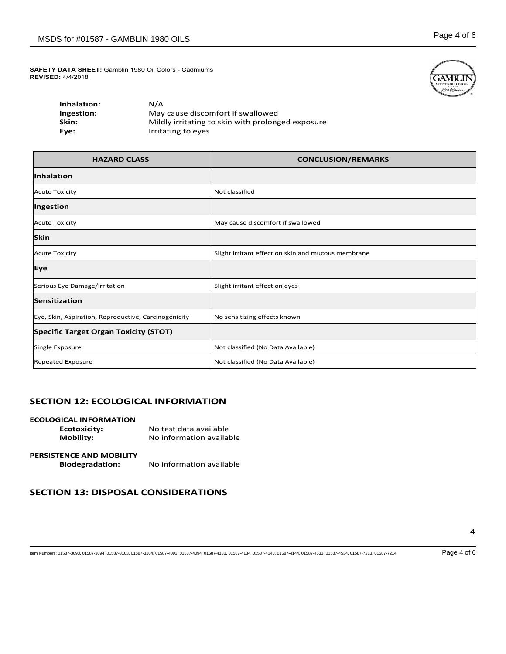

| Inhalation: | N/A                                               |
|-------------|---------------------------------------------------|
| Ingestion:  | May cause discomfort if swallowed                 |
| Skin:       | Mildly irritating to skin with prolonged exposure |
| Eve:        | Irritating to eyes                                |

| <b>HAZARD CLASS</b>                                  | <b>CONCLUSION/REMARKS</b>                          |
|------------------------------------------------------|----------------------------------------------------|
| Inhalation                                           |                                                    |
| <b>Acute Toxicity</b>                                | Not classified                                     |
| Ingestion                                            |                                                    |
| <b>Acute Toxicity</b>                                | May cause discomfort if swallowed                  |
| <b>Skin</b>                                          |                                                    |
| <b>Acute Toxicity</b>                                | Slight irritant effect on skin and mucous membrane |
| Eye                                                  |                                                    |
| Serious Eye Damage/Irritation                        | Slight irritant effect on eyes                     |
| Sensitization                                        |                                                    |
| Eye, Skin, Aspiration, Reproductive, Carcinogenicity | No sensitizing effects known                       |
| <b>Specific Target Organ Toxicity (STOT)</b>         |                                                    |
| Single Exposure                                      | Not classified (No Data Available)                 |
| <b>Repeated Exposure</b>                             | Not classified (No Data Available)                 |

### **SECTION 12: ECOLOGICAL INFORMATION**

| <b>ECOLOGICAL INFORMATION</b>   |                          |
|---------------------------------|--------------------------|
| <b>Ecotoxicity:</b>             | No test data available   |
| <b>Mobility:</b>                | No information available |
|                                 |                          |
| <b>PERSISTENCE AND MOBILITY</b> |                          |
| <b>Biodegradation:</b>          | No information available |

## **SECTION 13: DISPOSAL CONSIDERATIONS**

4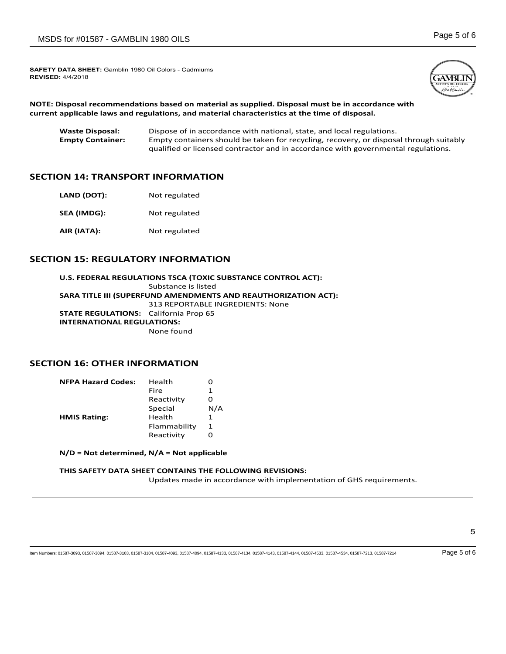

**NOTE: Disposal recommendations based on material as supplied. Disposal must be in accordance with current applicable laws and regulations, and material characteristics at the time of disposal.**

| <b>Waste Disposal:</b>  | Dispose of in accordance with national, state, and local regulations.                  |
|-------------------------|----------------------------------------------------------------------------------------|
| <b>Empty Container:</b> | Empty containers should be taken for recycling, recovery, or disposal through suitably |
|                         | gualified or licensed contractor and in accordance with governmental regulations.      |

### **SECTION 14: TRANSPORT INFORMATION**

| LAND (DOT): | Not regulated |
|-------------|---------------|
| SEA (IMDG): | Not regulated |
| AIR (IATA): | Not regulated |

### **SECTION 15: REGULATORY INFORMATION**

**U.S. FEDERAL REGULATIONS TSCA (TOXIC SUBSTANCE CONTROL ACT):** Substance is listed **SARA TITLE III (SUPERFUND AMENDMENTS AND REAUTHORIZATION ACT):** 313 REPORTABLE INGREDIENTS: None **STATE REGULATIONS:** California Prop 65 **INTERNATIONAL REGULATIONS:** None found

### **SECTION 16: OTHER INFORMATION**

| <b>NFPA Hazard Codes:</b> | Health       | Ω   |
|---------------------------|--------------|-----|
|                           | Fire         | 1   |
|                           | Reactivity   | Ω   |
|                           | Special      | N/A |
| <b>HMIS Rating:</b>       | Health       | 1   |
|                           | Flammability | 1   |
|                           | Reactivity   | O   |
|                           |              |     |

**N/D = Not determined, N/A = Not applicable**

#### **THIS SAFETY DATA SHEET CONTAINS THE FOLLOWING REVISIONS:**

Updates made in accordance with implementation of GHS requirements.